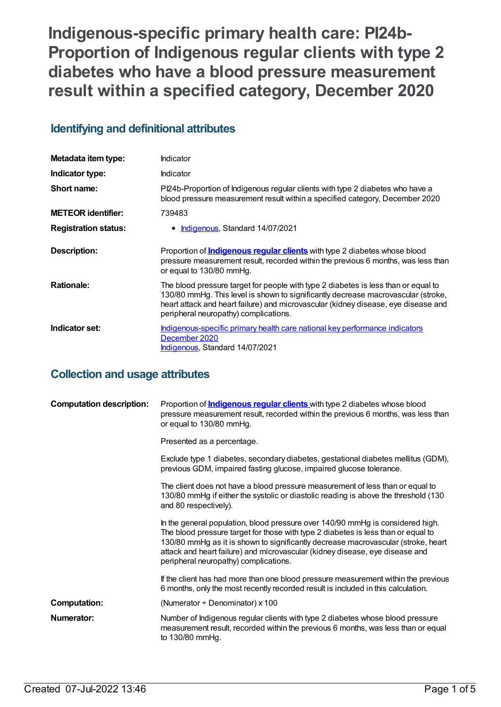**Indigenous-specific primary health care: PI24b-Proportion of Indigenous regular clients with type 2 diabetes who have a blood pressure measurement result within a specified category, December 2020**

## **Identifying and definitional attributes**

| Metadata item type:         | Indicator                                                                                                                                                                                                                                                                                              |
|-----------------------------|--------------------------------------------------------------------------------------------------------------------------------------------------------------------------------------------------------------------------------------------------------------------------------------------------------|
| Indicator type:             | Indicator                                                                                                                                                                                                                                                                                              |
| Short name:                 | Pl24b-Proportion of Indigenous regular clients with type 2 diabetes who have a<br>blood pressure measurement result within a specified category, December 2020                                                                                                                                         |
| <b>METEOR identifier:</b>   | 739483                                                                                                                                                                                                                                                                                                 |
| <b>Registration status:</b> | • Indigenous, Standard 14/07/2021                                                                                                                                                                                                                                                                      |
| Description:                | Proportion of <b>Indigenous regular clients</b> with type 2 diabetes whose blood<br>pressure measurement result, recorded within the previous 6 months, was less than<br>or equal to 130/80 mmHg.                                                                                                      |
| <b>Rationale:</b>           | The blood pressure target for people with type 2 diabetes is less than or equal to<br>130/80 mmHg. This level is shown to significantly decrease macrovascular (stroke,<br>heart attack and heart failure) and microvascular (kidney disease, eye disease and<br>peripheral neuropathy) complications. |
| Indicator set:              | Indigenous-specific primary health care national key performance indicators<br>December 2020<br>Indigenous, Standard 14/07/2021                                                                                                                                                                        |

## **Collection and usage attributes**

| <b>Computation description:</b> | Proportion of <b>Indigenous regular clients</b> with type 2 diabetes whose blood<br>pressure measurement result, recorded within the previous 6 months, was less than<br>or equal to 130/80 mmHg.                                                                                                                                                                                 |
|---------------------------------|-----------------------------------------------------------------------------------------------------------------------------------------------------------------------------------------------------------------------------------------------------------------------------------------------------------------------------------------------------------------------------------|
|                                 | Presented as a percentage.                                                                                                                                                                                                                                                                                                                                                        |
|                                 | Exclude type 1 diabetes, secondary diabetes, gestational diabetes mellitus (GDM),<br>previous GDM, impaired fasting glucose, impaired glucose tolerance.                                                                                                                                                                                                                          |
|                                 | The client does not have a blood pressure measurement of less than or equal to<br>130/80 mmHg if either the systolic or diastolic reading is above the threshold (130<br>and 80 respectively).                                                                                                                                                                                    |
|                                 | In the general population, blood pressure over 140/90 mmHg is considered high.<br>The blood pressure target for those with type 2 diabetes is less than or equal to<br>130/80 mmHg as it is shown to significantly decrease macrovascular (stroke, heart<br>attack and heart failure) and microvascular (kidney disease, eye disease and<br>peripheral neuropathy) complications. |
|                                 | If the client has had more than one blood pressure measurement within the previous<br>6 months, only the most recently recorded result is included in this calculation.                                                                                                                                                                                                           |
| <b>Computation:</b>             | (Numerator $\div$ Denominator) x 100                                                                                                                                                                                                                                                                                                                                              |
| <b>Numerator:</b>               | Number of Indigenous regular clients with type 2 diabetes whose blood pressure<br>measurement result, recorded within the previous 6 months, was less than or equal<br>to 130/80 mmHg.                                                                                                                                                                                            |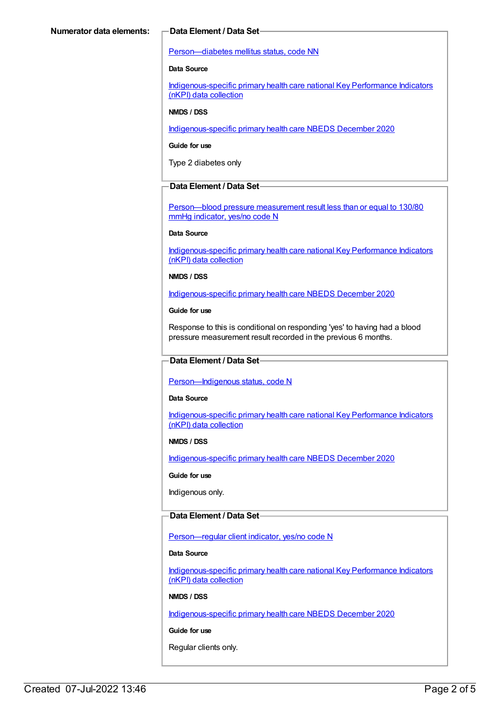#### [Person—diabetes](https://meteor.aihw.gov.au/content/270194) mellitus status, code NN

#### **Data Source**

[Indigenous-specific](https://meteor.aihw.gov.au/content/737914) primary health care national Key Performance Indicators (nKPI) data collection

#### **NMDS / DSS**

[Indigenous-specific](https://meteor.aihw.gov.au/content/738532) primary health care NBEDS December 2020

#### **Guide for use**

Type 2 diabetes only

#### **Data Element / Data Set**

[Person—blood](https://meteor.aihw.gov.au/content/443234) pressure measurement result less than or equal to 130/80 mmHg indicator, yes/no code N

#### **Data Source**

[Indigenous-specific](https://meteor.aihw.gov.au/content/737914) primary health care national Key Performance Indicators (nKPI) data collection

#### **NMDS / DSS**

[Indigenous-specific](https://meteor.aihw.gov.au/content/738532) primary health care NBEDS December 2020

#### **Guide for use**

Response to this is conditional on responding 'yes' to having had a blood pressure measurement result recorded in the previous 6 months.

#### **Data Element / Data Set**

[Person—Indigenous](https://meteor.aihw.gov.au/content/602543) status, code N

#### **Data Source**

[Indigenous-specific](https://meteor.aihw.gov.au/content/737914) primary health care national Key Performance Indicators (nKPI) data collection

#### **NMDS / DSS**

[Indigenous-specific](https://meteor.aihw.gov.au/content/738532) primary health care NBEDS December 2020

#### **Guide for use**

Indigenous only.

#### **Data Element / Data Set**

Person-regular client indicator, yes/no code N

#### **Data Source**

[Indigenous-specific](https://meteor.aihw.gov.au/content/737914) primary health care national Key Performance Indicators (nKPI) data collection

#### **NMDS / DSS**

[Indigenous-specific](https://meteor.aihw.gov.au/content/738532) primary health care NBEDS December 2020

#### **Guide for use**

Regular clients only.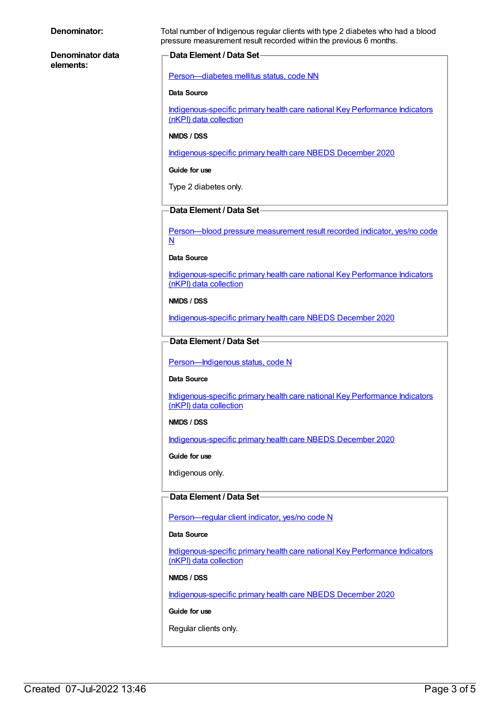**Denominator data elements:**

**Denominator:** Total number of Indigenous regular clients with type 2 diabetes who had a blood pressure measurement result recorded within the previous 6 months.

### **Data Element / Data Set**

[Person—diabetes](https://meteor.aihw.gov.au/content/270194) mellitus status, code NN

#### **Data Source**

[Indigenous-specific](https://meteor.aihw.gov.au/content/737914) primary health care national Key Performance Indicators (nKPI) data collection

#### **NMDS / DSS**

[Indigenous-specific](https://meteor.aihw.gov.au/content/738532) primary health care NBEDS December 2020

#### **Guide for use**

Type 2 diabetes only.

### **Data Element / Data Set**

[Person—blood](https://meteor.aihw.gov.au/content/441407) pressure measurement result recorded indicator, yes/no code N

#### **Data Source**

[Indigenous-specific](https://meteor.aihw.gov.au/content/737914) primary health care national Key Performance Indicators (nKPI) data collection

#### **NMDS / DSS**

[Indigenous-specific](https://meteor.aihw.gov.au/content/738532) primary health care NBEDS December 2020

### **Data Element / Data Set**

[Person—Indigenous](https://meteor.aihw.gov.au/content/602543) status, code N

#### **Data Source**

[Indigenous-specific](https://meteor.aihw.gov.au/content/737914) primary health care national Key Performance Indicators (nKPI) data collection

#### **NMDS / DSS**

[Indigenous-specific](https://meteor.aihw.gov.au/content/738532) primary health care NBEDS December 2020

**Guide for use**

Indigenous only.

#### **Data Element / Data Set**

[Person—regular](https://meteor.aihw.gov.au/content/686291) client indicator, yes/no code N

#### **Data Source**

[Indigenous-specific](https://meteor.aihw.gov.au/content/737914) primary health care national Key Performance Indicators (nKPI) data collection

#### **NMDS / DSS**

[Indigenous-specific](https://meteor.aihw.gov.au/content/738532) primary health care NBEDS December 2020

#### **Guide for use**

Regular clients only.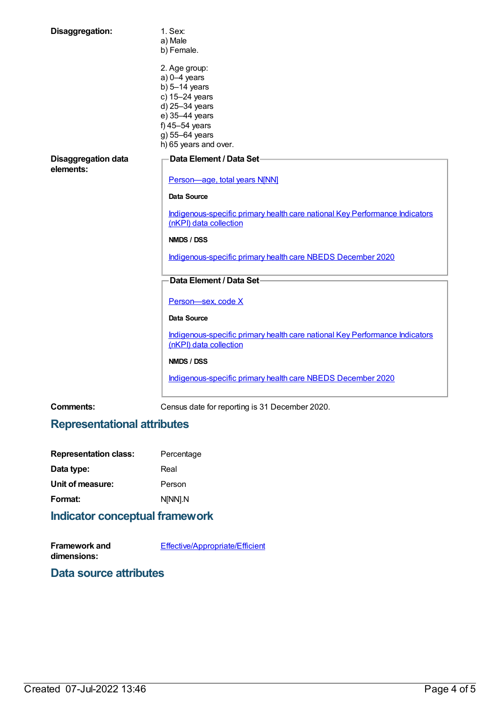| Disaggregation:                         | 1. Sex:                                                                                               |
|-----------------------------------------|-------------------------------------------------------------------------------------------------------|
|                                         | a) Male                                                                                               |
|                                         | b) Female.                                                                                            |
|                                         | 2. Age group:                                                                                         |
|                                         | $a) 0-4$ years                                                                                        |
|                                         | b) $5-14$ years                                                                                       |
|                                         | c) 15-24 years                                                                                        |
|                                         | d) 25-34 years                                                                                        |
|                                         | e) 35-44 years                                                                                        |
|                                         | f) $45-54$ years                                                                                      |
|                                         | g) 55-64 years                                                                                        |
|                                         | h) 65 years and over.                                                                                 |
|                                         |                                                                                                       |
| <b>Disaggregation data</b><br>elements: | Data Element / Data Set-                                                                              |
|                                         | Person-age, total years N[NN]                                                                         |
|                                         |                                                                                                       |
|                                         | <b>Data Source</b>                                                                                    |
|                                         | Indigenous-specific primary health care national Key Performance Indicators<br>(nKPI) data collection |
|                                         | <b>NMDS / DSS</b>                                                                                     |
|                                         | Indigenous-specific primary health care NBEDS December 2020                                           |
|                                         | Data Element / Data Set-                                                                              |
|                                         | Person-sex, code X                                                                                    |
|                                         | <b>Data Source</b>                                                                                    |
|                                         | Indigenous-specific primary health care national Key Performance Indicators                           |
|                                         | (nKPI) data collection                                                                                |
|                                         | <b>NMDS / DSS</b>                                                                                     |
|                                         | Indigenous-specific primary health care NBEDS December 2020                                           |
|                                         |                                                                                                       |

**Comments:** Census date for reporting is 31 December 2020.

# **Representational attributes**

| <b>Representation class:</b>                                                                                   | Percentage |
|----------------------------------------------------------------------------------------------------------------|------------|
| Data type:                                                                                                     | Real       |
| Unit of measure:                                                                                               | Person     |
| Format:                                                                                                        | N[NN].N    |
| the attack the contract of the contract of the contract of the contract of the contract of the contract of the |            |

# **Indicator conceptual framework**

| <b>Framework and</b> | <b>Effective/Appropriate/Efficient</b> |
|----------------------|----------------------------------------|
| dimensions:          |                                        |

**Data source attributes**